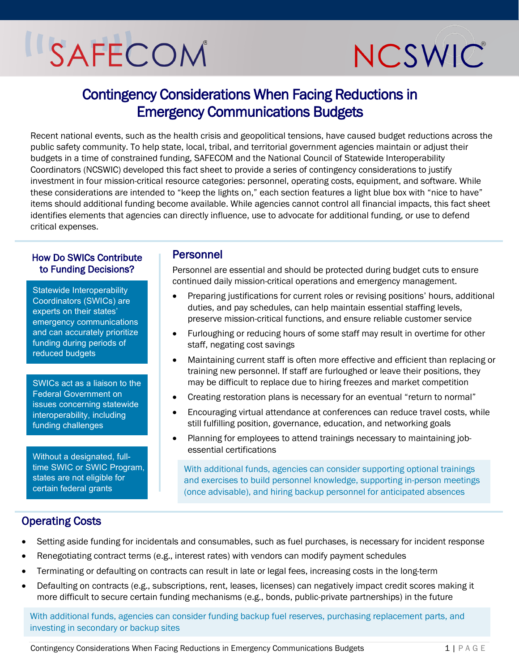# SAFECOM



# Contingency Considerations When Facing Reductions in Emergency Communications Budgets

Recent national events, such as the health crisis and geopolitical tensions, have caused budget reductions across the public safety community. To help state, local, tribal, and territorial government agencies maintain or adjust their budgets in a time of constrained funding, SAFECOM and the National Council of Statewide Interoperability Coordinators (NCSWIC) developed this fact sheet to provide a series of contingency considerations to justify investment in four mission-critical resource categories: personnel, operating costs, equipment, and software. While these considerations are intended to "keep the lights on," each section features a light blue box with "nice to have" items should additional funding become available. While agencies cannot control all financial impacts, this fact sheet identifies elements that agencies can directly influence, use to advocate for additional funding, or use to defend critical expenses.

#### How Do SWICs Contribute to Funding Decisions?

Statewide Interoperability Coordinators (SWICs) are experts on their states' emergency communications and can accurately prioritize funding during periods of reduced budgets

SWICs act as a liaison to the Federal Government on issues concerning statewide interoperability, including funding challenges

Without a designated, fulltime SWIC or SWIC Program, states are not eligible for certain federal grants

#### Personnel

Personnel are essential and should be protected during budget cuts to ensure continued daily mission-critical operations and emergency management.

- Preparing justifications for current roles or revising positions' hours, additional duties, and pay schedules, can help maintain essential staffing levels, preserve mission-critical functions, and ensure reliable customer service
- Furloughing or reducing hours of some staff may result in overtime for other staff, negating cost savings
- Maintaining current staff is often more effective and efficient than replacing or training new personnel. If staff are furloughed or leave their positions, they may be difficult to replace due to hiring freezes and market competition
- Creating restoration plans is necessary for an eventual "return to normal"
- Encouraging virtual attendance at conferences can reduce travel costs, while still fulfilling position, governance, education, and networking goals
- Planning for employees to attend trainings necessary to maintaining jobessential certifications

With additional funds, agencies can consider supporting optional trainings and exercises to build personnel knowledge, supporting in-person meetings (once advisable), and hiring backup personnel for anticipated absences

# Operating Costs

- Setting aside funding for incidentals and consumables, such as fuel purchases, is necessary for incident response
- Renegotiating contract terms (e.g., interest rates) with vendors can modify payment schedules
- Terminating or defaulting on contracts can result in late or legal fees, increasing costs in the long-term
- Defaulting on contracts (e.g., subscriptions, rent, leases, licenses) can negatively impact credit scores making it more difficult to secure certain funding mechanisms (e.g., bonds, public-private partnerships) in the future

With additional funds, agencies can consider funding backup fuel reserves, purchasing replacement parts, and investing in secondary or backup sites

Contingency Considerations When Facing Reductions in Emergency Communications Budgets 1 | PAGE